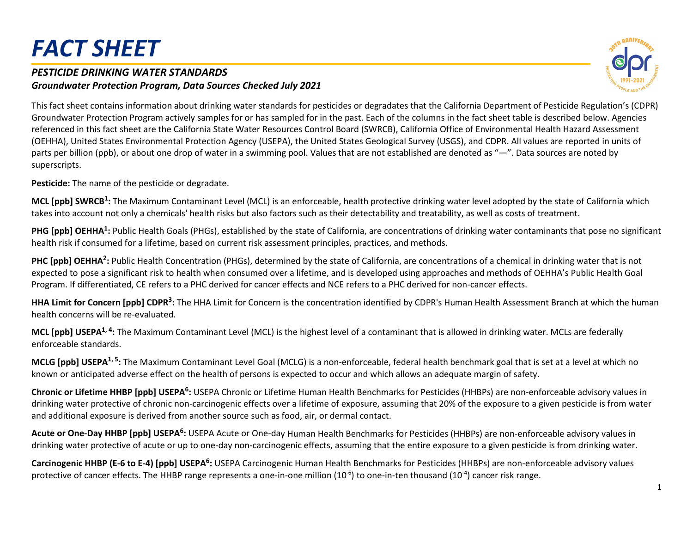#### *PESTICIDE DRINKING WATER STANDARDS Groundwater Protection Program, Data Sources Checked July 2021*



This fact sheet contains information about drinking water standards for pesticides or degradates that the California Department of Pesticide Regulation's (CDPR) Groundwater Protection Program actively samples for or has sampled for in the past. Each of the columns in the fact sheet table is described below. Agencies referenced in this fact sheet are the California State Water Resources Control Board (SWRCB), California Office of Environmental Health Hazard Assessment (OEHHA), United States Environmental Protection Agency (USEPA), the United States Geological Survey (USGS), and CDPR. All values are reported in units of parts per billion (ppb), or about one drop of water in a swimming pool. Values that are not established are denoted as "—". Data sources are noted by superscripts.

**Pesticide:** The name of the pesticide or degradate.

**MCL [ppb] SWRCB :** The Maximum Contaminant Level (MCL) is an enforceable, health protective drinking water level adopted by the state of California which **1** takes into account not only a chemicals' health risks but also factors such as their detectability and treatability, as well as costs of treatment.

PHG [ppb] OEHHA<sup>1</sup>: Public Health Goals (PHGs), established by the state of California, are concentrations of drinking water contaminants that pose no significant health risk if consumed for a lifetime, based on current risk assessment principles, practices, and methods.

PHC [ppb] OEHHA<sup>2</sup>: Public Health Concentration (PHGs), determined by the state of California, are concentrations of a chemical in drinking water that is not expected to pose a significant risk to health when consumed over a lifetime, and is developed using approaches and methods of OEHHA's Public Health Goal Program. If differentiated, CE refers to a PHC derived for cancer effects and NCE refers to a PHC derived for non-cancer effects.

HHA Limit for Concern [ppb] CDPR<sup>3</sup>: The HHA Limit for Concern is the concentration identified by CDPR's Human Health Assessment Branch at which the human health concerns will be re-evaluated.

**MCL [ppb] USEPA<sup>1, 4</sup>:** The Maximum Contaminant Level (MCL) is the highest level of a contaminant that is allowed in drinking water. MCLs are federally enforceable standards.

**MCLG [ppb] USEPA<sup>1, 5</sup>:** The Maximum Contaminant Level Goal (MCLG) is a non-enforceable, federal health benchmark goal that is set at a level at which no known or anticipated adverse effect on the health of persons is expected to occur and which allows an adequate margin of safety.

Chronic or Lifetime HHBP [ppb] USEPA<sup>6</sup>: USEPA Chronic or Lifetime Human Health Benchmarks for Pesticides (HHBPs) are non-enforceable advisory values in drinking water protective of chronic non-carcinogenic effects over a lifetime of exposure, assuming that 20% of the exposure to a given pesticide is from water and additional exposure is derived from another source such as food, air, or dermal contact.

**Acute or One-Day HHBP [ppb] USEPA :** USEPA Acute or One-day Human Health Benchmarks for Pesticides (HHBPs) are non-enforceable advisory values in **6** drinking water protective of acute or up to one-day non-carcinogenic effects, assuming that the entire exposure to a given pesticide is from drinking water.

Carcinogenic HHBP (E-6 to E-4) [ppb] USEPA<sup>6</sup>: USEPA Carcinogenic Human Health Benchmarks for Pesticides (HHBPs) are non-enforceable advisory values protective of cancer effects. The HHBP range represents a one-in-one million  $(10^{-6})$  to one-in-ten thousand  $(10^{-4})$  cancer risk range.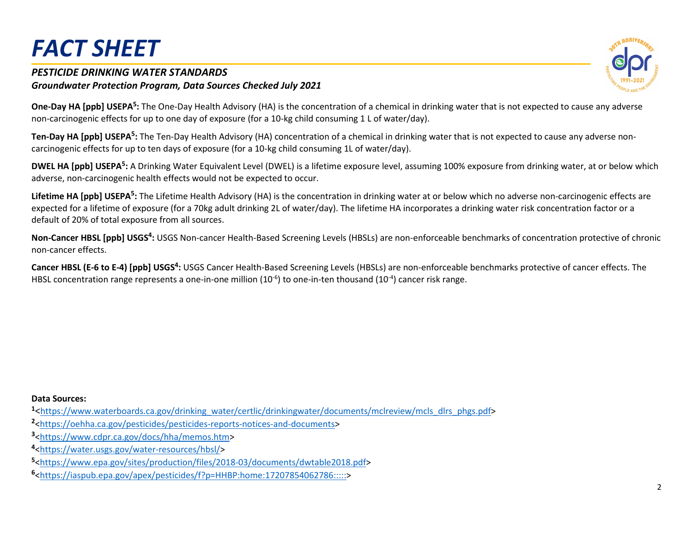#### *PESTICIDE DRINKING WATER STANDARDS Groundwater Protection Program, Data Sources Checked July 2021*



**One-Day HA [ppb] USEPA<sup>5</sup>:** The One-Day Health Advisory (HA) is the concentration of a chemical in drinking water that is not expected to cause any adverse non-carcinogenic effects for up to one day of exposure (for a 10-kg child consuming 1 L of water/day).

Ten-Day HA [ppb] USEPA<sup>5</sup>: The Ten-Day Health Advisory (HA) concentration of a chemical in drinking water that is not expected to cause any adverse noncarcinogenic effects for up to ten days of exposure (for a 10-kg child consuming 1L of water/day).

DWEL HA [ppb] USEPA<sup>5</sup>: A Drinking Water Equivalent Level (DWEL) is a lifetime exposure level, assuming 100% exposure from drinking water, at or below which adverse, non-carcinogenic health effects would not be expected to occur.

Lifetime HA [ppb] USEPA<sup>5</sup>: The Lifetime Health Advisory (HA) is the concentration in drinking water at or below which no adverse non-carcinogenic effects are expected for a lifetime of exposure (for a 70kg adult drinking 2L of water/day). The lifetime HA incorporates a drinking water risk concentration factor or a default of 20% of total exposure from all sources.

Non-Cancer HBSL [ppb] USGS<sup>4</sup>: USGS Non-cancer Health-Based Screening Levels (HBSLs) are non-enforceable benchmarks of concentration protective of chronic non-cancer effects.

Cancer HBSL (E-6 to E-4) [ppb] USGS<sup>4</sup>: USGS Cancer Health-Based Screening Levels (HBSLs) are non-enforceable benchmarks protective of cancer effects. The HBSL concentration range represents a one-in-one million  $(10^{-6})$  to one-in-ten thousand  $(10^{-4})$  cancer risk range.

**Data Sources:**

**<sup>1</sup>**[<https://www.waterboards.ca.gov/drinking\\_water/certlic/drinkingwater/documents/mclreview/mcls\\_dlrs\\_phgs.pdf>](https://www.waterboards.ca.gov/drinking_water/certlic/drinkingwater/documents/mclreview/mcls_dlrs_phgs.pdf)

- **<sup>2</sup>**[<https://oehha.ca.gov/pesticides/pesticides-reports-notices-and-documents>](https://oehha.ca.gov/pesticides/pesticides-reports-notices-and-documents)
- **<sup>3</sup>**[<https://www.cdpr.ca.gov/docs/hha/memos.htm>](https://www.cdpr.ca.gov/docs/hha/memos.htm)
- **<sup>4</sup>**[<https://water.usgs.gov/water-resources/hbsl/>](https://water.usgs.gov/water-resources/hbsl/)

**<sup>5</sup>**[<https://www.epa.gov/sites/production/files/2018-03/documents/dwtable2018.pdf>](https://www.epa.gov/sites/production/files/2018-03/documents/dwtable2018.pdf)

**<sup>6</sup>**[<https://iaspub.epa.gov/apex/pesticides/f?p=HHBP:home:17207854062786:::::>](https://iaspub.epa.gov/apex/pesticides/f?p=HHBP:home:17207854062786:::::)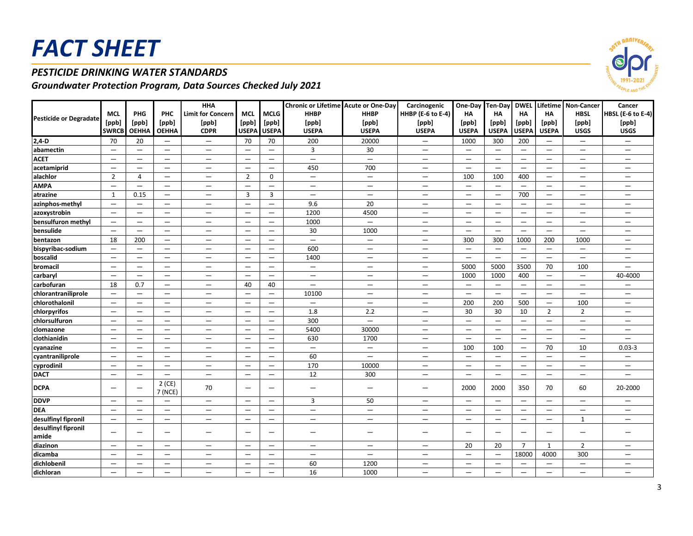### *PESTICIDE DRINKING WATER STANDARDS*

|                               |                          |                                 |                                 | <b>HHA</b>                      |                          |                                 | Chronic or Lifetime Acute or One-Day |                          | Carcinogenic             |                                 |                          |                                 |                                 | One-Day Ten-Day DWEL Lifetime Non-Cancer | Cancer                          |
|-------------------------------|--------------------------|---------------------------------|---------------------------------|---------------------------------|--------------------------|---------------------------------|--------------------------------------|--------------------------|--------------------------|---------------------------------|--------------------------|---------------------------------|---------------------------------|------------------------------------------|---------------------------------|
|                               | <b>MCL</b>               | PHG                             | PHC                             | <b>Limit for Concern</b>        | <b>MCL</b>               | <b>MCLG</b>                     | <b>HHBP</b>                          | <b>HHBP</b>              | HHBP (E-6 to E-4)        | <b>HA</b>                       | <b>HA</b>                | <b>HA</b>                       | <b>HA</b>                       | <b>HBSL</b>                              | HBSL (E-6 to E-4)               |
| <b>Pesticide or Degradate</b> | [ppb]                    | [ppb]                           | [ppb]                           | [ppb]                           | [ppb]                    | [ppb]                           | [ppb]                                | [ppb]                    | [ppb]                    | [ppb]                           | [ppb]                    | [ppb]                           | [ppb]                           | [ppb]                                    | [ppb]                           |
|                               | <b>SWRCB</b>             | <b>OEHHA</b>                    | <b>OEHHA</b>                    | <b>CDPR</b>                     | <b>USEPA</b>             | <b>USEPA</b>                    | <b>USEPA</b>                         | <b>USEPA</b>             | <b>USEPA</b>             | <b>USEPA</b>                    | <b>USEPA</b>             | <b>USEPA</b>                    | <b>USEPA</b>                    | <b>USGS</b>                              | <b>USGS</b>                     |
| $2,4-D$                       | 70                       | 20                              | $\qquad \qquad -$               | $\qquad \qquad -$               | 70                       | 70                              | 200                                  | 20000                    | $\qquad \qquad -$        | 1000                            | 300                      | 200                             | $\qquad \qquad -$               | $\overline{\phantom{0}}$                 | $\qquad \qquad -$               |
| abamectin                     | $\equiv$                 | $\equiv$                        | $\equiv$                        | $\equiv$                        | $\overline{\phantom{0}}$ | $\equiv$                        | $\overline{3}$                       | 30                       | $\equiv$                 | $\equiv$                        | $\qquad \qquad =$        | $\equiv$                        | $\equiv$                        | $\equiv$                                 | $\equiv$                        |
| <b>ACET</b>                   | $\qquad \qquad -$        | $\qquad \qquad -$               |                                 | $\overline{\phantom{m}}$        | $\overline{\phantom{m}}$ | $\overline{\phantom{m}}$        | $\overline{\phantom{m}}$             | $\overline{\phantom{m}}$ | $\overline{\phantom{m}}$ | $\overline{\phantom{m}}$        | $\qquad \qquad -$        | $\qquad \qquad -$               | $\qquad \qquad -$               | $\qquad \qquad -$                        | $\hspace{0.1mm}-\hspace{0.1mm}$ |
| acetamiprid                   | $\qquad \qquad -$        | $\overbrace{\phantom{1232211}}$ | $\overline{\phantom{0}}$        | $\overline{\phantom{m}}$        | $\qquad \qquad -$        |                                 | 450                                  | 700                      | $\overline{\phantom{m}}$ | $\qquad \qquad \longleftarrow$  | $\overline{\phantom{0}}$ | $\overline{\phantom{m}}$        | $\hspace{0.1mm}-\hspace{0.1mm}$ | $\qquad \qquad -$                        | $\overline{\phantom{m}}$        |
| alachlor                      | $\overline{2}$           | 4                               |                                 |                                 | $\overline{2}$           | $\mathbf 0$                     | $\overline{\phantom{m}}$             | $\qquad \qquad -$        |                          | 100                             | 100                      | 400                             | $\qquad \qquad -$               | $\overline{\phantom{0}}$                 |                                 |
| <b>AMPA</b>                   | $\equiv$                 | $\equiv$                        | $\qquad \qquad -$               | $\qquad \qquad -$               | $\overline{\phantom{0}}$ | $\equiv$                        |                                      |                          | $\qquad \qquad -$        | $\qquad \qquad -$               | $\overline{\phantom{0}}$ | $\equiv$                        | $\overline{\phantom{0}}$        | $\overline{\phantom{0}}$                 | $\qquad \qquad -$               |
| atrazine                      | $\mathbf{1}$             | 0.15                            | $\equiv$                        | $\equiv$                        | $\overline{3}$           | $\overline{3}$                  | $\equiv$                             | $\equiv$                 | $\equiv$                 | $\qquad \qquad -$               | $\equiv$                 | 700                             | $\equiv$                        | $\overline{\phantom{0}}$                 | $\qquad \qquad -$               |
| azinphos-methyl               | $\equiv$                 | $\qquad \qquad -$               | $\overline{\phantom{0}}$        | $\qquad \qquad -$               | $\equiv$                 | $\qquad \qquad -$               | 9.6                                  | 20                       | $\overline{\phantom{m}}$ | $\qquad \qquad -$               | $\qquad \qquad -$        | $\overline{\phantom{0}}$        | $\qquad \qquad -$               | —                                        | $\qquad \qquad -$               |
| azoxystrobin                  | $\qquad \qquad -$        |                                 |                                 | $\qquad \qquad -$               |                          |                                 | 1200                                 | 4500                     | $\qquad \qquad -$        |                                 |                          | $\overbrace{\phantom{1232211}}$ | $\overline{\phantom{0}}$        | $\qquad \qquad -$                        | $\overbrace{\phantom{1232211}}$ |
| bensulfuron methyl            | $\equiv$                 | $\overline{\phantom{0}}$        | $\overline{\phantom{0}}$        | $\overbrace{\phantom{1232211}}$ | $\qquad \qquad =$        |                                 | 1000                                 | $\overline{\phantom{0}}$ | $\equiv$                 | $\overline{\phantom{0}}$        | $\qquad \qquad -$        | $\equiv$                        | $\equiv$                        | $\qquad \qquad -$                        | $\qquad \qquad -$               |
| bensulide                     | $\qquad \qquad =$        | $\equiv$                        | $\qquad \qquad -$               | $\qquad \qquad -$               | $\overline{\phantom{m}}$ | $\overbrace{\phantom{1232211}}$ | 30                                   | 1000                     | $\overline{\phantom{m}}$ | $\qquad \qquad -$               | $\qquad \qquad -$        | $\equiv$                        | $\overline{\phantom{m}}$        | $\qquad \qquad -$                        |                                 |
| bentazon                      | 18                       | 200                             | $\qquad \qquad -$               | $\qquad \qquad -$               | $\overline{\phantom{m}}$ |                                 | $\equiv$                             | $\qquad \qquad -$        | $\overline{\phantom{m}}$ | 300                             | 300                      | 1000                            | 200                             | 1000                                     | $\overline{\phantom{m}}$        |
| bispyribac-sodium             | $\qquad \qquad -$        | $\qquad \qquad -$               | $\qquad \qquad -$               | $\hspace{0.1mm}-\hspace{0.1mm}$ | $\overline{\phantom{m}}$ | $\overline{\phantom{m}}$        | 600                                  | $\qquad \qquad -$        | $\overline{\phantom{m}}$ | $\overline{\phantom{m}}$        | $\qquad \qquad -$        | $\qquad \qquad -$               | $\overline{\phantom{0}}$        | $\qquad \qquad -$                        | $\hspace{0.1mm}-\hspace{0.1mm}$ |
| boscalid                      | $\qquad \qquad -$        | $\qquad \qquad -$               | $\overline{\phantom{0}}$        | $\qquad \qquad -$               | $\overline{\phantom{m}}$ | $\overbrace{\phantom{1232211}}$ | 1400                                 | $\qquad \qquad -$        | $\overline{\phantom{m}}$ | $\qquad \qquad -$               | $\qquad \qquad -$        | $\qquad \qquad -$               | $\equiv$                        | $\overline{\phantom{0}}$                 | $\qquad \qquad -$               |
| bromacil                      | $\equiv$                 | $\equiv$                        | $\qquad \qquad =$               | $\equiv$                        | $\qquad \qquad =$        | $\qquad \qquad -$               | $\equiv$                             | $\qquad \qquad -$        | $\equiv$                 | 5000                            | 5000                     | 3500                            | 70                              | 100                                      | $\equiv$                        |
| carbaryl                      | $\equiv$                 | $\equiv$                        | $\equiv$                        | $\equiv$                        | $\qquad \qquad -$        | $\equiv$                        | $\equiv$                             | $\equiv$                 | $\equiv$                 | 1000                            | 1000                     | 400                             | $\overline{\phantom{0}}$        | $\overline{\phantom{0}}$                 | 40-4000                         |
| carbofuran                    | 18                       | 0.7                             | $\qquad \qquad -$               | $\overline{\phantom{m}}$        | 40                       | 40                              | $\overline{\phantom{m}}$             | $\qquad \qquad -$        | $\overline{\phantom{m}}$ | $\overline{\phantom{m}}$        | $\overline{\phantom{0}}$ | $\overline{\phantom{m}}$        | $\overline{\phantom{m}}$        | $\qquad \qquad -$                        | $\qquad \qquad -$               |
| chlorantraniliprole           | $\qquad \qquad -$        | $\qquad \qquad -$               | $\overline{\phantom{0}}$        | $\overline{\phantom{m}}$        | $\overline{\phantom{m}}$ | $\overline{\phantom{m}}$        | 10100                                | $\qquad \qquad -$        | $\overline{\phantom{m}}$ | $\qquad \qquad \longleftarrow$  | —                        | $\qquad \qquad -$               | $\qquad \qquad -$               | —                                        | $\overline{\phantom{m}}$        |
| chlorothalonil                | $\overline{\phantom{0}}$ | $\overline{\phantom{0}}$        | $\overline{\phantom{0}}$        | $\overline{\phantom{0}}$        | $\overline{\phantom{0}}$ | $\overline{\phantom{0}}$        | $\overline{\phantom{0}}$             | $\overline{\phantom{0}}$ | $\overline{\phantom{0}}$ | 200                             | 200                      | 500                             | $\qquad \qquad -$               | 100                                      | $\overline{\phantom{0}}$        |
| chlorpyrifos                  | $\equiv$                 | $\qquad \qquad -$               | $\qquad \qquad -$               | $\qquad \qquad -$               | $\overline{\phantom{m}}$ | $\qquad \qquad -$               | 1.8                                  | 2.2                      | $\overline{\phantom{m}}$ | 30                              | 30                       | 10                              | $\overline{2}$                  | $\overline{2}$                           | $\qquad \qquad -$               |
| chlorsulfuron                 | $\equiv$                 | $\equiv$                        | $\overline{\phantom{0}}$        | $\equiv$                        | $\qquad \qquad -$        | $\equiv$                        | 300                                  | $\equiv$                 | $\overline{\phantom{0}}$ | $\overline{\phantom{0}}$        | $\equiv$                 | $\overline{\phantom{0}}$        | $\overline{\phantom{0}}$        | $\overline{\phantom{0}}$                 | $\equiv$                        |
| clomazone                     | $\qquad \qquad -$        | $\qquad \qquad -$               | $\qquad \qquad \longleftarrow$  | $\qquad \qquad -$               | $\overline{\phantom{m}}$ | $\overline{\phantom{m}}$        | 5400                                 | 30000                    | $\overline{\phantom{m}}$ | $\hspace{0.1mm}-\hspace{0.1mm}$ | $\qquad \qquad -$        | $\qquad \qquad -$               | $\qquad \qquad -$               | $\qquad \qquad -$                        | $\overline{\phantom{m}}$        |
| clothianidin                  | $\overline{\phantom{0}}$ | $\overline{\phantom{0}}$        |                                 | $\overline{\phantom{m}}$        |                          |                                 | 630                                  | 1700                     | $\qquad \qquad -$        |                                 |                          | $\overbrace{\phantom{1232211}}$ | $\overline{\phantom{0}}$        | $\qquad \qquad -$                        |                                 |
| cyanazine                     | $\qquad \qquad -$        | $\overline{\phantom{0}}$        | $\overline{\phantom{0}}$        | $\equiv$                        | $\overline{\phantom{m}}$ |                                 | $\overline{\phantom{m}}$             | $\overline{\phantom{0}}$ | $\equiv$                 | 100                             | 100                      | $\qquad \qquad -$               | 70                              | 10                                       | $0.03 - 3$                      |
| cyantraniliprole              | $\qquad \qquad -$        | $\qquad \qquad -$               |                                 | $\qquad \qquad -$               | $\overline{\phantom{m}}$ |                                 | 60                                   | $\qquad \qquad -$        | $\qquad \qquad -$        | $\qquad \qquad -$               | $\qquad \qquad =$        | $\equiv$                        | $\overline{\phantom{0}}$        | $\qquad \qquad -$                        | $\overline{\phantom{0}}$        |
| cyprodinil                    | $=$                      | $\qquad \qquad -$               | $\qquad \qquad -$               | $\overline{\phantom{m}}$        | $\overline{\phantom{m}}$ |                                 | 170                                  | 10000                    | $\overline{\phantom{m}}$ | $\qquad \qquad -$               | $\qquad \qquad -$        | $\qquad \qquad =$               | $\overline{\phantom{0}}$        | $\qquad \qquad -$                        | $\qquad \qquad -$               |
| <b>DACT</b>                   | $\equiv$                 | $\qquad \qquad -$               | $\overline{\phantom{0}}$        | $\qquad \qquad -$               | $\overline{\phantom{m}}$ | $\overline{\phantom{m}}$        | $\overline{12}$                      | 300                      | $\qquad \qquad -$        | $\qquad \qquad -$               | $\qquad \qquad =$        | $\qquad \qquad -$               | $\overline{\phantom{0}}$        | $\qquad \qquad -$                        | $\overline{\phantom{0}}$        |
| <b>DCPA</b>                   | $\overline{\phantom{0}}$ |                                 | $2$ (CE)<br>7 (NCE)             | 70                              | $\overline{\phantom{0}}$ |                                 | $\overline{\phantom{0}}$             | $\qquad \qquad -$        |                          | 2000                            | 2000                     | 350                             | 70                              | 60                                       | 20-2000                         |
| <b>DDVP</b>                   | $=$                      | $\equiv$                        | $\overline{\phantom{0}}$        | $\equiv$                        | $\qquad \qquad -$        | $\equiv$                        | 3                                    | 50                       | $\overline{\phantom{0}}$ | $\overline{\phantom{0}}$        | $\qquad \qquad =$        | $\qquad \qquad -$               | $\overline{\phantom{0}}$        | $\overline{\phantom{0}}$                 | $\equiv$                        |
| <b>DEA</b>                    | $\overline{\phantom{0}}$ | $\qquad \qquad -$               | $\qquad \qquad -$               | $\qquad \qquad -$               | $\overline{\phantom{m}}$ | $\overline{\phantom{0}}$        | $\overline{\phantom{m}}$             | $\overline{\phantom{0}}$ | $\overline{\phantom{m}}$ | $\overline{\phantom{m}}$        | $\qquad \qquad -$        | $\qquad \qquad -$               | $\equiv$                        | $\qquad \qquad -$                        | $\qquad \qquad -$               |
| desulfinyl fipronil           | $\qquad \qquad -$        |                                 | $\equiv$                        |                                 |                          | $\overbrace{\phantom{1232211}}$ | $\overbrace{\phantom{1232211}}$      |                          |                          |                                 |                          |                                 | $\overline{\phantom{0}}$        | $\mathbf{1}$                             |                                 |
| desulfinyl fipronil<br>amide  | $\overline{\phantom{0}}$ | $\overline{\phantom{0}}$        | -                               |                                 |                          |                                 |                                      | —                        |                          |                                 | $\overline{\phantom{0}}$ |                                 | $\overline{\phantom{0}}$        | —                                        | —                               |
| diazinon                      | $\qquad \qquad -$        | $\qquad \qquad -$               | $\qquad \qquad -$               | $\overline{\phantom{m}}$        | $\overline{\phantom{m}}$ | $\overline{\phantom{m}}$        | $\overline{\phantom{m}}$             | $\qquad \qquad -$        | $\overline{\phantom{m}}$ | 20                              | 20                       | $\overline{7}$                  | $\mathbf{1}$                    | $\overline{2}$                           | $\qquad \qquad -$               |
| dicamba                       | $\overline{\phantom{0}}$ |                                 |                                 |                                 |                          |                                 | $\overline{\phantom{0}}$             | $\qquad \qquad -$        | $\overline{\phantom{0}}$ |                                 | $\qquad \qquad =$        | 18000                           | 4000                            | 300                                      |                                 |
| dichlobenil                   | $\qquad \qquad -$        | -                               | $\overbrace{\phantom{1232211}}$ | $\overline{\phantom{m}}$        | $\overline{\phantom{m}}$ | $\overline{\phantom{0}}$        | 60                                   | 1200                     | $\overline{\phantom{m}}$ | $\qquad \qquad -$               | —                        | $\overline{\phantom{m}}$        | $\overline{\phantom{m}}$        | —                                        | $\overline{\phantom{m}}$        |
| dichloran                     | $\qquad \qquad -$        | $\overline{\phantom{0}}$        | $\overline{\phantom{0}}$        |                                 | $\equiv$                 |                                 | 16                                   | 1000                     | $\overline{\phantom{0}}$ | $\qquad \qquad -$               | $\overline{\phantom{0}}$ | $\equiv$                        | $\equiv$                        | -                                        | —                               |

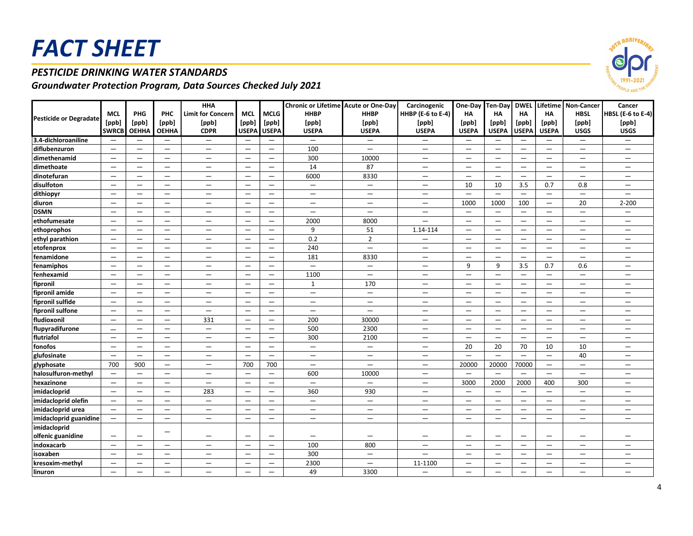### *PESTICIDE DRINKING WATER STANDARDS*

|                               |                          |                                 |                                 | <b>HHA</b>               |                                 |                          | Chronic or Lifetime Acute or One-Day |                                  | Carcinogenic             | One-Day Ten-Day                  |                          |                                 |                                 | <b>DWEL Lifetime Non-Cancer</b> | Cancer                          |
|-------------------------------|--------------------------|---------------------------------|---------------------------------|--------------------------|---------------------------------|--------------------------|--------------------------------------|----------------------------------|--------------------------|----------------------------------|--------------------------|---------------------------------|---------------------------------|---------------------------------|---------------------------------|
|                               | <b>MCL</b>               | PHG                             | PHC                             | <b>Limit for Concern</b> | <b>MCL</b>                      | <b>MCLG</b>              | <b>HHBP</b>                          | <b>HHBP</b>                      | HHBP (E-6 to E-4)        | HA                               | <b>HA</b>                | <b>HA</b>                       | HA                              | <b>HBSL</b>                     | <b>HBSL (E-6 to E-4)</b>        |
| <b>Pesticide or Degradate</b> | [ppb]                    | [ppb]                           | [ppb]                           | [ppb]                    | [ppb]                           | [ppb]                    | [ppb]                                | [ppb]                            | [ppb]                    | [ppb]                            | [ppb]                    | [ppb]                           | [ppb]                           | [ppb]                           | [ppb]                           |
|                               | <b>SWRCB</b>             | <b>OEHHA</b>                    | <b>OEHHA</b>                    | <b>CDPR</b>              | <b>USEPA</b>                    | <b>USEPA</b>             | <b>USEPA</b>                         | <b>USEPA</b>                     | <b>USEPA</b>             | <b>USEPA</b>                     | <b>USEPA</b>             | <b>USEPA</b>                    | <b>USEPA</b>                    | <b>USGS</b>                     | <b>USGS</b>                     |
| 3.4-dichloroaniline           | $\qquad \qquad -$        | —                               | —                               | $\qquad \qquad -$        | $\overline{\phantom{0}}$        | $\qquad \qquad -$        | -                                    | $\overline{\phantom{m}}$         | $\qquad \qquad -$        | $\overline{\phantom{0}}$         | $\overline{\phantom{m}}$ | $\overline{\phantom{m}}$        |                                 | $\qquad \qquad \longleftarrow$  | $\qquad \qquad -$               |
| diflubenzuron                 | $\overline{\phantom{m}}$ | $\overline{\phantom{0}}$        | $\overline{\phantom{0}}$        | $\overline{\phantom{0}}$ | $\overline{\phantom{m}}$        | $\overline{\phantom{0}}$ | 100                                  | $\overline{\phantom{0}}$         | $\overline{\phantom{0}}$ | $\overline{\phantom{0}}$         | $\overline{\phantom{0}}$ | $\overline{\phantom{0}}$        | $\overline{\phantom{0}}$        | $\overline{\phantom{0}}$        | $\qquad \qquad -$               |
| dimethenamid                  | $\overline{\phantom{0}}$ | $\overline{\phantom{0}}$        | $\qquad \qquad -$               | —                        | $\overline{\phantom{0}}$        | $\qquad \qquad -$        | 300                                  | 10000                            | $\qquad \qquad -$        | $\qquad \qquad -$                | $\overline{\phantom{0}}$ | $\qquad \qquad -$               | $\qquad \qquad -$               | $\qquad \qquad -$               | $\qquad \qquad -$               |
| dimethoate                    | $\equiv$                 | $\equiv$                        | $\overline{\phantom{0}}$        | —                        | $\qquad \qquad$                 | $\equiv$                 | 14                                   | 87                               | $\overline{\phantom{0}}$ | $\overbrace{\phantom{12322111}}$ | $\equiv$                 | $\equiv$                        | $\qquad \qquad -$               | $\overline{\phantom{0}}$        | $\qquad \qquad -$               |
| dinotefuran                   | $\qquad \qquad -$        | $\overline{\phantom{0}}$        | $\overline{\phantom{0}}$        | $\qquad \qquad -$        | $\overline{\phantom{m}}$        | $\overline{\phantom{0}}$ | 6000                                 | 8330                             | $\qquad \qquad -$        |                                  |                          | $\overbrace{\phantom{1232211}}$ | $\overbrace{\phantom{1232211}}$ | $\overline{\phantom{m}}$        | $\overline{\phantom{0}}$        |
| disulfoton                    | $\qquad \qquad -$        | $\overline{\phantom{0}}$        | $\overline{\phantom{0}}$        | $\qquad \qquad -$        | $\overline{\phantom{m}}$        | $\overline{\phantom{0}}$ | $-$                                  | $\equiv$                         | $\qquad \qquad -$        | 10                               | 10                       | 3.5                             | 0.7                             | 0.8                             |                                 |
| dithiopyr                     | $\qquad \qquad -$        | $=$                             |                                 | $\equiv$                 | $\qquad \qquad =$               | $\overline{\phantom{0}}$ | $\equiv$                             | $\equiv$                         | $\equiv$                 | $\equiv$                         | $\equiv$                 | $\equiv$                        | $\equiv$                        | $\overline{\phantom{0}}$        |                                 |
| diuron                        | $\qquad \qquad -$        | $\qquad \qquad -$               | $\overline{\phantom{0}}$        | $\qquad \qquad -$        | $\hspace{0.1mm}-\hspace{0.1mm}$ | $\qquad \qquad$          | $\qquad \qquad -$                    | $\overline{\phantom{m}}$         | $\qquad \qquad -$        | 1000                             | 1000                     | 100                             | $\qquad \qquad -$               | 20                              | $2 - 200$                       |
| <b>DSMN</b>                   | $\overline{\phantom{0}}$ | $\overline{\phantom{0}}$        |                                 | $\qquad \qquad -$        | $\qquad \qquad -$               | $\qquad \qquad$          | $\overline{\phantom{0}}$             |                                  | $\qquad \qquad -$        | $\qquad \qquad -$                | $\qquad \qquad -$        | $\qquad \qquad -$               |                                 | $\overline{\phantom{m}}$        | $\qquad \qquad -$               |
| ethofumesate                  | $\qquad \qquad -$        | $\overline{\phantom{0}}$        |                                 | $\qquad \qquad -$        | $\overline{\phantom{0}}$        | $\qquad \qquad -$        | 2000                                 | 8000                             | $\equiv$                 | $\qquad \qquad -$                | $\overline{\phantom{0}}$ | $\overline{\phantom{0}}$        | $\qquad \qquad -$               | $\qquad \qquad -$               | $\qquad \qquad -$               |
| ethoprophos                   | $-$                      | $=$                             | $\overline{\phantom{0}}$        | $\overline{\phantom{0}}$ | $\qquad \qquad -$               | $\qquad \qquad -$        | 9                                    | 51                               | 1.14-114                 | $\qquad \qquad -$                | $\equiv$                 | $\equiv$                        | $\overbrace{\phantom{1232211}}$ | $\qquad \qquad -$               | $\overline{\phantom{0}}$        |
| ethyl parathion               | $-$                      | —                               | $\overline{\phantom{0}}$        | $\qquad \qquad -$        | $\overbrace{\phantom{1232211}}$ | $-$                      | 0.2                                  | $\overline{2}$                   | $\qquad \qquad -$        | $\qquad \qquad -$                | $\qquad \qquad -$        | $\qquad \qquad -$               | $\qquad \qquad -$               | $\overline{\phantom{m}}$        | $\qquad \qquad -$               |
| etofenprox                    | $\qquad \qquad -$        | $\overline{\phantom{0}}$        | $\overline{\phantom{0}}$        | —                        | $\overline{\phantom{m}}$        | $\overline{\phantom{0}}$ | 240                                  |                                  | $\overline{\phantom{0}}$ |                                  |                          | $\overbrace{\phantom{1232211}}$ | $\overline{\phantom{0}}$        |                                 |                                 |
| fenamidone                    | $\qquad \qquad -$        | $\overline{\phantom{0}}$        | $\overline{\phantom{0}}$        | $\overline{\phantom{0}}$ | $\overline{\phantom{m}}$        |                          | 181                                  | 8330                             | $\qquad \qquad -$        | $\overline{\phantom{0}}$         |                          | $\overbrace{\phantom{1232211}}$ | $\overline{\phantom{0}}$        | $\overline{\phantom{m}}$        |                                 |
| fenamiphos                    | $\overline{\phantom{0}}$ | $\overline{\phantom{0}}$        | $\overline{\phantom{0}}$        | $\overline{\phantom{0}}$ | $\overline{\phantom{m}}$        | $\qquad \qquad -$        | $\overline{\phantom{0}}$             | $\equiv$                         | $\overline{\phantom{0}}$ | 9                                | 9                        | 3.5                             | 0.7                             | 0.6                             | $\overline{\phantom{0}}$        |
| fenhexamid                    | $\qquad \qquad -$        | —                               | $\qquad \qquad -$               | $\qquad \qquad -$        | $\qquad \qquad -$               | $\qquad \qquad -$        | 1100                                 | $\overline{\phantom{m}}$         | $\qquad \qquad -$        | $\overline{\phantom{m}}$         | $\overline{\phantom{m}}$ | $\qquad \qquad -$               | $\qquad \qquad -$               | $\overline{\phantom{m}}$        | $\qquad \qquad -$               |
| fipronil                      | —                        | $\qquad \qquad -$               | —                               | $\qquad \qquad -$        | $\hspace{0.1mm}-\hspace{0.1mm}$ | $\qquad \qquad -$        | $\mathbf{1}$                         | 170                              | $\qquad \qquad -$        | $\qquad \qquad -$                | $\qquad \qquad -$        | $\hspace{0.1mm}-\hspace{0.1mm}$ | $\overline{\phantom{m}}$        | $\overline{\phantom{m}}$        | $\qquad \qquad -$               |
| fipronil amide                | $-$                      | —                               | $\overline{\phantom{0}}$        | $-$                      | $\overbrace{\phantom{1232211}}$ | $\overline{\phantom{0}}$ | —                                    | $\overline{\phantom{m}}$         | $\overline{\phantom{0}}$ | $\overline{\phantom{0}}$         | $\overline{\phantom{0}}$ | $\overbrace{\phantom{1232211}}$ | $\overline{\phantom{0}}$        |                                 | $\qquad \qquad -$               |
| fipronil sulfide              | $-$                      | —                               | $\overline{\phantom{0}}$        | $\qquad \qquad -$        | $\overbrace{\phantom{1232211}}$ | $\qquad \qquad -$        | —                                    | $\overline{\phantom{m}}$         | $\qquad \qquad -$        | $\overline{\phantom{m}}$         | $\overline{\phantom{0}}$ | —                               | $\overline{\phantom{m}}$        | $\qquad \qquad -$               | $\qquad \qquad -$               |
| fipronil sulfone              | $\equiv$                 | $\equiv$                        | $\overline{\phantom{0}}$        | $\overline{\phantom{0}}$ | $\equiv$                        | $-$                      | $-$                                  | $\overline{\phantom{0}}$         | $\equiv$                 | $\qquad \qquad -$                | $\equiv$                 | $\equiv$                        | $\equiv$                        | $\qquad \qquad -$               | $\qquad \qquad -$               |
| fludioxonil                   | $\equiv$                 | $\equiv$                        | $\overline{\phantom{0}}$        | 331                      | $\qquad \qquad =$               | $-$                      | 200                                  | 30000                            | $\overline{\phantom{0}}$ | $\qquad \qquad -$                | $\qquad \qquad =$        | $\equiv$                        | $\qquad \qquad -$               | $\overline{\phantom{m}}$        | $\qquad \qquad -$               |
| flupyradifurone               | $\overline{\phantom{0}}$ | $\qquad \qquad -$               | $\overline{\phantom{0}}$        | $\overline{\phantom{0}}$ | $\qquad \qquad -$               | $\overline{\phantom{0}}$ | 500                                  | 2300                             | $\equiv$                 | $\overbrace{\phantom{12322111}}$ | $\qquad \qquad =$        | $\qquad \qquad -$               | $\overline{\phantom{0}}$        | $\overline{\phantom{m}}$        | $\qquad \qquad -$               |
| flutriafol                    | $\equiv$                 | $\equiv$                        | $\overline{\phantom{0}}$        | $\overline{\phantom{0}}$ | $\overline{\phantom{0}}$        | $\overline{\phantom{0}}$ | 300                                  | 2100                             | $\equiv$                 | $\overbrace{\phantom{12322111}}$ | $\equiv$                 | $\equiv$                        | $\qquad \qquad -$               | $\overline{\phantom{m}}$        | $\qquad \qquad -$               |
| fonofos                       | $\qquad \qquad -$        | —                               | $\overbrace{\phantom{1232211}}$ | —                        | $\overbrace{\phantom{1232211}}$ | $\qquad \qquad -$        | —                                    | $\overbrace{\phantom{1232211}}$  | —                        | 20                               | 20                       | 70                              | 10                              | 10                              | $\overline{\phantom{0}}$        |
| glufosinate                   | $\qquad \qquad -$        | $=$                             | —                               | $\qquad \qquad -$        | $\equiv$                        | $\equiv$                 | $\qquad \qquad -$                    | $\hspace{0.1mm}-\hspace{0.1mm}$  | $\qquad \qquad -$        | $\equiv$                         | $\equiv$                 | $\overline{\phantom{0}}$        | $\qquad \qquad -$               | 40                              | $\qquad \qquad -$               |
| glyphosate                    | 700                      | 900                             | $\qquad \qquad -$               | $\qquad \qquad -$        | 700                             | 700                      | $\qquad \qquad -$                    | $\overline{\phantom{m}}$         | $\qquad \qquad -$        | 20000                            | 20000                    | 70000                           | $\qquad \qquad -$               | $\overline{\phantom{m}}$        | $\qquad \qquad -$               |
| halosulfuron-methyl           | $\equiv$                 | $\equiv$                        | $\overline{\phantom{0}}$        | $\overline{\phantom{0}}$ | $\equiv$                        | $\qquad \qquad -$        | 600                                  | 10000                            | $\equiv$                 | $\equiv$                         | $\overline{\phantom{0}}$ | $\qquad \qquad -$               | $\overline{\phantom{0}}$        | $\overline{\phantom{0}}$        | $\overline{\phantom{0}}$        |
| hexazinone                    | $\equiv$                 | $\equiv$                        | $\qquad \qquad -$               | $\equiv$                 | $\equiv$                        | $\qquad \qquad -$        | $\equiv$                             | $\overline{\phantom{m}}$         | $\equiv$                 | 3000                             | 2000                     | 2000                            | 400                             | 300                             | $\qquad \qquad -$               |
| imidacloprid                  | $\overline{\phantom{m}}$ | $\overline{\phantom{0}}$        | $\overline{\phantom{0}}$        | 283                      | $\qquad \qquad -$               | $\qquad \qquad -$        | 360                                  | 930                              | $\qquad \qquad -$        | $\overline{\phantom{0}}$         | $\overline{\phantom{m}}$ | $\qquad \qquad -$               | $\overline{\phantom{0}}$        | $\overline{\phantom{m}}$        | $\qquad \qquad$                 |
| imidacloprid olefin           | $\overline{\phantom{m}}$ | $\qquad \qquad -$               | $\overline{\phantom{0}}$        | $\qquad \qquad -$        | $\qquad \qquad =$               | $\overline{\phantom{0}}$ | $-$                                  | $\overline{\phantom{0}}$         | $-$                      | $\overline{\phantom{m}}$         | $\equiv$                 | $\equiv$                        | $\qquad \qquad -$               | $\overline{\phantom{m}}$        |                                 |
| imidacloprid urea             | $\equiv$                 | $\overbrace{\phantom{1232211}}$ | $\overline{\phantom{0}}$        | $\qquad \qquad -$        | $\qquad \qquad -$               |                          | -                                    | $\overline{\phantom{0}}$         | $\qquad \qquad -$        | $\overline{\phantom{0}}$         | $\qquad \qquad -$        | $\qquad \qquad -$               |                                 | $\overline{\phantom{m}}$        | $\qquad \qquad -$               |
| imidacloprid guanidine        | $\qquad \qquad -$        | —                               | $\overline{\phantom{0}}$        | $\overline{\phantom{0}}$ | $\equiv$                        | $\qquad \qquad -$        | —                                    | $\overbrace{\phantom{12322111}}$ | $\qquad \qquad -$        | —                                | $\equiv$                 | $\equiv$                        | $\overline{\phantom{0}}$        | $\overline{\phantom{0}}$        | $\qquad \qquad -$               |
| imidacloprid                  |                          |                                 |                                 |                          |                                 |                          |                                      |                                  |                          |                                  |                          |                                 |                                 |                                 |                                 |
| olfenic guanidine             | $\qquad \qquad -$        | $\qquad \qquad -$               |                                 | $\qquad \qquad -$        | $\qquad \qquad -$               | $\qquad \qquad$          | $\qquad \qquad -$                    | $\hspace{0.1mm}-\hspace{0.1mm}$  | $\qquad \qquad -$        | $\qquad \qquad -$                | $\qquad \qquad -$        | $\hspace{0.1mm}-\hspace{0.1mm}$ | $\qquad \qquad -$               | $\overline{\phantom{m}}$        | $\qquad \qquad -$               |
| indoxacarb                    | $\qquad \qquad -$        | —                               | $\qquad \qquad -$               | $\qquad \qquad -$        | $\qquad \qquad -$               | $\qquad \qquad -$        | 100                                  | 800                              | $\qquad \qquad -$        | $\qquad \qquad -$                | $\qquad \qquad -$        | $\qquad \qquad -$               | $\qquad \qquad -$               | $\overline{\phantom{m}}$        | $\qquad \qquad -$               |
| isoxaben                      | $\qquad \qquad -$        | —                               | $\overline{\phantom{0}}$        | —                        | $\qquad \qquad -$               | $\overline{\phantom{0}}$ | 300                                  | $\overline{\phantom{m}}$         | $\overline{\phantom{0}}$ | $\overbrace{\phantom{1232211}}$  | $\overline{\phantom{0}}$ | $\overline{\phantom{0}}$        | $\overline{\phantom{0}}$        | $\qquad \qquad -$               | $\qquad \qquad -$               |
| kresoxim-methyl               | $\qquad \qquad -$        | $\overbrace{\phantom{1232211}}$ | —                               | $\qquad \qquad -$        | $\qquad \qquad -$               | $\qquad \qquad -$        | 2300                                 | $\overline{\phantom{m}}$         | 11-1100                  | $\overline{\phantom{m}}$         | $\qquad \qquad -$        | $\overbrace{\phantom{1232211}}$ | $\qquad \qquad -$               | $\qquad \qquad \longleftarrow$  | $\qquad \qquad -$               |
| linuron                       | $-$                      | —                               | —                               | —                        | $\qquad \qquad -$               | $\qquad \qquad -$        | 49                                   | 3300                             | $\overline{\phantom{0}}$ | $\overbrace{\phantom{1232211}}$  | $\overline{\phantom{0}}$ | —                               | $\overline{\phantom{m}}$        | $\overbrace{\phantom{1232211}}$ | $\overbrace{\phantom{1232211}}$ |

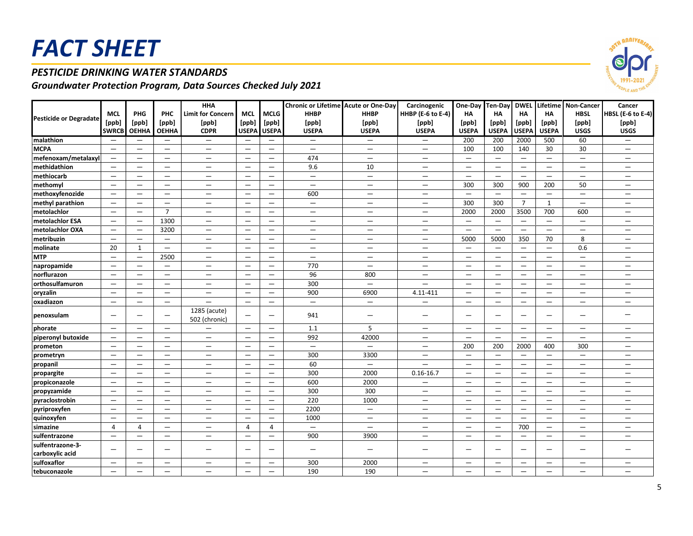### *PESTICIDE DRINKING WATER STANDARDS*

|                                     |                          |                                 |                          | <b>HHA</b>                    |                                 |                          | Chronic or Lifetime Acute or One-Day |                                  | Carcinogenic                    | One-Day Ten-Day DWEL            |                                 |                          |                          | Lifetime Non-Cancer      | Cancer                          |
|-------------------------------------|--------------------------|---------------------------------|--------------------------|-------------------------------|---------------------------------|--------------------------|--------------------------------------|----------------------------------|---------------------------------|---------------------------------|---------------------------------|--------------------------|--------------------------|--------------------------|---------------------------------|
|                                     | <b>MCL</b>               | PHG                             | PHC                      | <b>Limit for Concern</b>      | <b>MCL</b>                      | <b>MCLG</b>              | <b>HHBP</b>                          | <b>HHBP</b>                      | <b>HHBP</b> (E-6 to E-4)        | HA                              | <b>HA</b>                       | <b>HA</b>                | <b>HA</b>                | <b>HBSL</b>              | <b>HBSL (E-6 to E-4)</b>        |
| <b>Pesticide or Degradate</b>       | [ppb]                    | [ppb]                           | [ppb]                    | [ppb]                         | [ppb]                           | [ppb]                    | [ppb]                                | [ppb]                            | [ppb]                           | [ppb]                           | [ppb]                           | [ppb]                    | [ppb]                    | [ppb]                    | [ppb]                           |
|                                     | <b>SWRCB</b>             | <b>OEHHA</b>                    | <b>OEHHA</b>             | <b>CDPR</b>                   | <b>USEPA</b>                    | <b>USEPA</b>             | <b>USEPA</b>                         | <b>USEPA</b>                     | <b>USEPA</b>                    | <b>USEPA</b>                    | <b>USEPA</b>                    | <b>USEPA</b>             | <b>USEPA</b>             | <b>USGS</b>              | <b>USGS</b>                     |
| malathion                           | $\qquad \qquad -$        | $\overline{\phantom{0}}$        | $\overline{\phantom{m}}$ | $\overline{\phantom{0}}$      |                                 | $\qquad \qquad -$        | $\qquad \qquad -$                    | $\overline{\phantom{m}}$         | $\qquad \qquad -$               | 200                             | 200                             | 2000                     | 500                      | 60                       | $\qquad \qquad -$               |
| <b>MCPA</b>                         | $\overline{\phantom{m}}$ | $\overline{\phantom{0}}$        | $\qquad \qquad -$        | $\overline{\phantom{0}}$      | $\overline{\phantom{m}}$        | $\overline{\phantom{0}}$ | $\overline{\phantom{0}}$             | $\qquad \qquad -$                | $\overline{\phantom{0}}$        | 100                             | 100                             | 140                      | 30                       | 30                       | $\qquad \qquad -$               |
| mefenoxam/metalaxyl                 | $\equiv$                 | $\equiv$                        | $\overline{\phantom{0}}$ | $-$                           | $\overline{\phantom{m}}$        | —                        | 474                                  | $\overbrace{\phantom{12322111}}$ | $\overline{\phantom{0}}$        | $\qquad \qquad -$               | $\equiv$                        | $\equiv$                 | $\equiv$                 | $\overline{\phantom{0}}$ | —                               |
| methidathion                        | $\equiv$                 | —                               | $\overline{\phantom{0}}$ | —                             | $\overbrace{\phantom{1232211}}$ | $\overline{\phantom{0}}$ | 9.6                                  | 10                               | $\overline{\phantom{0}}$        | $\overline{\phantom{m}}$        | $\overline{\phantom{m}}$        | $\equiv$                 | $\qquad \qquad -$        | $\overline{\phantom{m}}$ | —                               |
| methiocarb                          | $\equiv$                 | $\qquad \qquad -$               | $\overline{\phantom{m}}$ | $\equiv$                      | $\overline{\phantom{m}}$        | $\overline{\phantom{0}}$ | $-$                                  | $\qquad \qquad =$                | $\qquad \qquad -$               | $\overline{\phantom{m}}$        | $\qquad \qquad -$               | $\qquad \qquad -$        | $\overline{\phantom{0}}$ | $\qquad \qquad -$        | $\overline{\phantom{0}}$        |
| methomyl                            | $\overline{\phantom{0}}$ | $\overline{\phantom{0}}$        | $\qquad \qquad -$        | $-$                           | $\overline{\phantom{m}}$        | $-$                      | $\overline{\phantom{0}}$             | $\equiv$                         | $\equiv$                        | 300                             | 300                             | 900                      | 200                      | 50                       | $\overline{\phantom{m}}$        |
| methoxyfenozide                     | $\overline{\phantom{m}}$ | $\qquad \qquad -$               | $\qquad \qquad -$        | $\qquad \qquad -$             | $\overline{\phantom{m}}$        | $\equiv$                 | 600                                  | $\qquad \qquad -$                | $\qquad \qquad -$               | $\overline{\phantom{0}}$        | $\overline{\phantom{m}}$        | $\overline{\phantom{m}}$ | $\overline{\phantom{0}}$ | $\overline{\phantom{m}}$ | $\qquad \qquad -$               |
| methyl parathion                    | $-$                      | $\overline{\phantom{m}}$        | $\overline{\phantom{0}}$ | $\qquad \qquad -$             | $\overbrace{\phantom{1232211}}$ | —                        | $\qquad \qquad -$                    | $\overline{\phantom{m}}$         | $\hspace{0.1mm}-\hspace{0.1mm}$ | 300                             | 300                             | $\overline{7}$           | $\mathbf{1}$             | $\overline{\phantom{m}}$ | $\overline{\phantom{0}}$        |
| metolachlor                         | $-$                      | —                               | $\overline{7}$           | —                             | $\overbrace{\phantom{1232211}}$ | —                        | —                                    | $\overline{\phantom{m}}$         | $\qquad \qquad -$               | 2000                            | 2000                            | 3500                     | 700                      | 600                      | $\qquad \qquad -$               |
| metolachlor ESA                     | $\qquad \qquad -$        | $\overline{\phantom{0}}$        | 1300                     | $\overline{\phantom{0}}$      | $\qquad \qquad -$               | —                        | $\qquad \qquad -$                    | $\overline{\phantom{0}}$         | $\qquad \qquad -$               | $\overline{\phantom{m}}$        | $\overline{\phantom{0}}$        | $\qquad \qquad -$        | $\qquad \qquad -$        | $\qquad \qquad -$        | —                               |
| metolachlor OXA                     | $\equiv$                 | $\equiv$                        | 3200                     | $\equiv$                      | $\qquad \qquad =$               | $\equiv$                 | $\equiv$                             | $\qquad \qquad =$                | $\equiv$                        | $\equiv$                        | $\qquad \qquad -$               | $\overline{\phantom{0}}$ | $\equiv$                 | $\qquad \qquad =$        | $\equiv$                        |
| metribuzin                          | $\equiv$                 | $\overline{\phantom{0}}$        | $\qquad \qquad -$        | $\overline{\phantom{0}}$      | $\qquad \qquad -$               | —                        | $\overline{\phantom{0}}$             | $\qquad \qquad -$                | $\overline{\phantom{0}}$        | 5000                            | 5000                            | 350                      | 70                       | 8                        | $\qquad \qquad -$               |
| molinate                            | 20                       | $\mathbf{1}$                    | $\qquad \qquad -$        | —                             | $\overline{\phantom{m}}$        | $\overline{\phantom{0}}$ | $\qquad \qquad -$                    |                                  | $\hspace{0.1mm}-\hspace{0.1mm}$ | $\overline{\phantom{m}}$        | $\overline{\phantom{0}}$        | $\equiv$                 | $\equiv$                 | 0.6                      | $\qquad \qquad -$               |
| <b>MTP</b>                          | $\equiv$                 | $\overline{\phantom{0}}$        | 2500                     | —                             | $\overline{\phantom{m}}$        | —                        | $\qquad \qquad -$                    | $\overline{\phantom{m}}$         | $\overline{\phantom{m}}$        | $\overline{\phantom{m}}$        | $\overline{\phantom{m}}$        | $\qquad \qquad -$        | $\qquad \qquad -$        | $\qquad \qquad -$        | $\overline{\phantom{m}}$        |
| napropamide                         | $\qquad \qquad -$        |                                 | $\qquad \qquad -$        | $\qquad \qquad -$             |                                 | $\qquad \qquad -$        | 770                                  | $\overline{\phantom{m}}$         | $\qquad \qquad -$               |                                 | $\qquad \qquad -$               |                          | $\qquad \qquad -$        | $\overline{\phantom{m}}$ | $\overline{\phantom{0}}$        |
| norflurazon                         | $\equiv$                 | $\overline{\phantom{0}}$        | $\qquad \qquad =$        | $\equiv$                      | $\overline{\phantom{a}}$        | $\equiv$                 | 96                                   | 800                              | $\equiv$                        | $\equiv$                        | $\overline{\phantom{0}}$        | $\equiv$                 | $\equiv$                 | $\qquad \qquad -$        | —                               |
| <b>orthosulfamuron</b>              | $\equiv$                 | $\qquad \qquad$                 | $\overline{\phantom{0}}$ | $\qquad \qquad -$             | $\overline{\phantom{m}}$        | —                        | 300                                  | $\overline{\phantom{m}}$         | $\overline{\phantom{0}}$        | $\overline{\phantom{m}}$        | $\overline{\phantom{0}}$        | $\qquad \qquad -$        | $\qquad \qquad -$        | $\qquad \qquad -$        | —                               |
| oryzalin                            | $\qquad \qquad -$        | $\overline{\phantom{0}}$        | $\overline{\phantom{0}}$ |                               |                                 | $\overline{\phantom{0}}$ | 900                                  | 6900                             | 4.11-411                        |                                 |                                 | $\overline{\phantom{0}}$ | $\overline{\phantom{0}}$ |                          |                                 |
| oxadiazon                           | $\overline{\phantom{0}}$ | $\overline{\phantom{0}}$        |                          |                               |                                 | $\overline{\phantom{0}}$ | $-$                                  | $\qquad \qquad -$                | $\equiv$                        | $\overline{\phantom{m}}$        | $\overbrace{\phantom{1232211}}$ | $\overline{\phantom{0}}$ | $\overline{\phantom{0}}$ | $\overline{\phantom{0}}$ | $\qquad \qquad -$               |
| penoxsulam                          | $\qquad \qquad -$        | —                               | $\overline{\phantom{0}}$ | 1285 (acute)<br>502 (chronic) | $\overbrace{\phantom{1232211}}$ | —                        | 941                                  | $\overline{\phantom{m}}$         | $\overline{\phantom{0}}$        | $\overbrace{\phantom{1232211}}$ | $\overline{\phantom{0}}$        |                          | $\qquad \qquad -$        | $\overline{\phantom{m}}$ | $\overbrace{\phantom{1232211}}$ |
| phorate                             | $\qquad \qquad -$        | $\overbrace{\phantom{1232211}}$ |                          | $\equiv$                      | $\overline{\phantom{m}}$        | $\overline{\phantom{0}}$ | 1.1                                  | 5                                | $\equiv$                        | $\overline{\phantom{m}}$        | $\qquad \qquad -$               | $\qquad \qquad -$        | $\overline{\phantom{0}}$ | $\qquad \qquad -$        | $\qquad \qquad -$               |
| piperonyl butoxide                  | $\overline{\phantom{0}}$ | $\overbrace{\phantom{1232211}}$ |                          | $-$                           |                                 | $\overline{\phantom{0}}$ | 992                                  | 42000                            | $\qquad \qquad -$               | $\overline{\phantom{m}}$        | $\equiv$                        | $\overline{\phantom{0}}$ | $\overline{\phantom{0}}$ |                          | —                               |
| prometon                            | $\qquad \qquad -$        | —                               | $\qquad \qquad -$        | $-$                           | $\overbrace{\phantom{1232211}}$ | —                        | $\overline{\phantom{0}}$             | $\qquad \qquad -$                | $\overline{\phantom{0}}$        | 200                             | 200                             | 2000                     | 400                      | 300                      | —                               |
| prometryn                           | $\overline{\phantom{0}}$ | $\equiv$                        | $\qquad \qquad -$        | $\overline{\phantom{0}}$      | $\overline{\phantom{a}}$        | $-$                      | 300                                  | 3300                             | $\overline{\phantom{0}}$        | $\equiv$                        | $\overline{\phantom{m}}$        | $\overline{\phantom{0}}$ | $\qquad \qquad -$        | $\overline{\phantom{0}}$ | —                               |
| propanil                            | $\overline{\phantom{0}}$ | $\overline{\phantom{0}}$        | $\qquad \qquad -$        | $\qquad \qquad -$             | $\overline{\phantom{m}}$        | —                        | 60                                   | $\overline{\phantom{m}}$         |                                 | $\overline{\phantom{m}}$        | $\qquad \qquad -$               | $\qquad \qquad -$        | $\qquad \qquad -$        | $\qquad \qquad -$        | $\qquad \qquad -$               |
| propargite                          | $\qquad \qquad -$        | —                               | $\overline{\phantom{0}}$ | —                             |                                 | $\overline{\phantom{0}}$ | 300                                  | 2000                             | $0.16 - 16.7$                   | $\overline{\phantom{m}}$        | $\overline{\phantom{0}}$        | $\overline{\phantom{0}}$ | $\overline{\phantom{0}}$ | $\overline{\phantom{m}}$ | —                               |
| propiconazole                       | $\overline{\phantom{0}}$ | $\overline{\phantom{0}}$        |                          |                               |                                 | $\overline{\phantom{0}}$ | 600                                  | 2000                             |                                 |                                 | $\overline{\phantom{m}}$        | $\overline{\phantom{0}}$ | $\overline{\phantom{0}}$ |                          |                                 |
| propyzamide                         | $\overline{\phantom{0}}$ | $\overline{\phantom{0}}$        | $\overline{\phantom{0}}$ | $-$                           | $\overline{\phantom{m}}$        | $-$                      | 300                                  | 300                              | $\overline{\phantom{0}}$        | $\overline{\phantom{m}}$        | $\overline{\phantom{m}}$        | $\overline{\phantom{0}}$ | $\qquad \qquad -$        | $\overline{\phantom{0}}$ | $\overline{\phantom{m}}$        |
| pyraclostrobin                      | $\qquad \qquad -$        | $\qquad \qquad -$               | $\qquad \qquad -$        | $\qquad \qquad -$             | $\overline{\phantom{m}}$        | $\qquad \qquad -$        | 220                                  | 1000                             | $\qquad \qquad -$               | $\hspace{0.1mm}-\hspace{0.1mm}$ | $\overline{\phantom{m}}$        | $\qquad \qquad -$        | $\qquad \qquad -$        | $\qquad \qquad -$        | $\qquad \qquad -$               |
| pyriproxyfen                        | $\qquad \qquad -$        | $\qquad \qquad -$               | —                        | $\qquad \qquad -$             | $\overbrace{\phantom{1232211}}$ | —                        | 2200                                 | $\overline{\phantom{m}}$         | $\qquad \qquad -$               | $\hspace{0.1mm}-\hspace{0.1mm}$ | $\hspace{0.1mm}-\hspace{0.1mm}$ | $\qquad \qquad -$        | $\qquad \qquad -$        | $\overline{\phantom{m}}$ | $\qquad \qquad -$               |
| quinoxyfen                          | $\qquad \qquad -$        | —                               | —                        | —                             | $\overbrace{\phantom{1232211}}$ | —                        | 1000                                 | $\overline{\phantom{m}}$         | $\hspace{0.1mm}-\hspace{0.1mm}$ | —                               | $\overbrace{\phantom{1232211}}$ | $\qquad \qquad -$        | $\qquad \qquad -$        | $\overline{\phantom{m}}$ | $\overline{\phantom{0}}$        |
| simazine                            | $\overline{4}$           | $\overline{4}$                  | $\qquad \qquad -$        | $-$                           | $\overline{4}$                  | $\overline{4}$           | $\equiv$                             | $\qquad \qquad -$                | $\qquad \qquad -$               | $\overline{\phantom{m}}$        | $\overline{\phantom{m}}$        | 700                      | $\qquad \qquad -$        | $\overline{\phantom{m}}$ | $\qquad \qquad -$               |
| sulfentrazone                       | $-$                      | $-$                             | $\overline{\phantom{0}}$ | $\overline{\phantom{0}}$      | $\qquad \qquad -$               | $\equiv$                 | 900                                  | 3900                             | $\equiv$                        | $\overline{\phantom{0}}$        | $\overline{\phantom{0}}$        | $\overline{\phantom{0}}$ | $\overline{\phantom{0}}$ | $\overline{\phantom{0}}$ | $\equiv$                        |
| sulfentrazone-3-<br>carboxylic acid | $\qquad \qquad -$        | $\overline{\phantom{0}}$        | $\overline{\phantom{0}}$ | $\overline{\phantom{0}}$      | $\overbrace{\phantom{1232211}}$ | —                        | $\qquad \qquad -$                    | $\qquad \qquad -$                | $\overline{\phantom{0}}$        | $\overline{\phantom{m}}$        | $\overline{\phantom{0}}$        | $\overline{\phantom{0}}$ | $\qquad \qquad -$        | $\qquad \qquad -$        | $\overline{\phantom{0}}$        |
| sulfoxaflor                         | $\overline{\phantom{0}}$ |                                 |                          | $\overline{\phantom{0}}$      | $\overline{\phantom{m}}$        | $\overline{\phantom{0}}$ | 300                                  | 2000                             |                                 |                                 | $\overline{\phantom{m}}$        |                          | $\overline{\phantom{0}}$ |                          | $\qquad \qquad -$               |
| tebuconazole                        | $\qquad \qquad -$        | $\overline{\phantom{0}}$        | $\overline{\phantom{0}}$ | ▃                             | $\overline{\phantom{m}}$        | $\overline{\phantom{0}}$ | 190                                  | 190                              | $\overline{\phantom{0}}$        |                                 |                                 | $\overline{\phantom{0}}$ | $\overline{\phantom{0}}$ |                          | $\overline{\phantom{0}}$        |